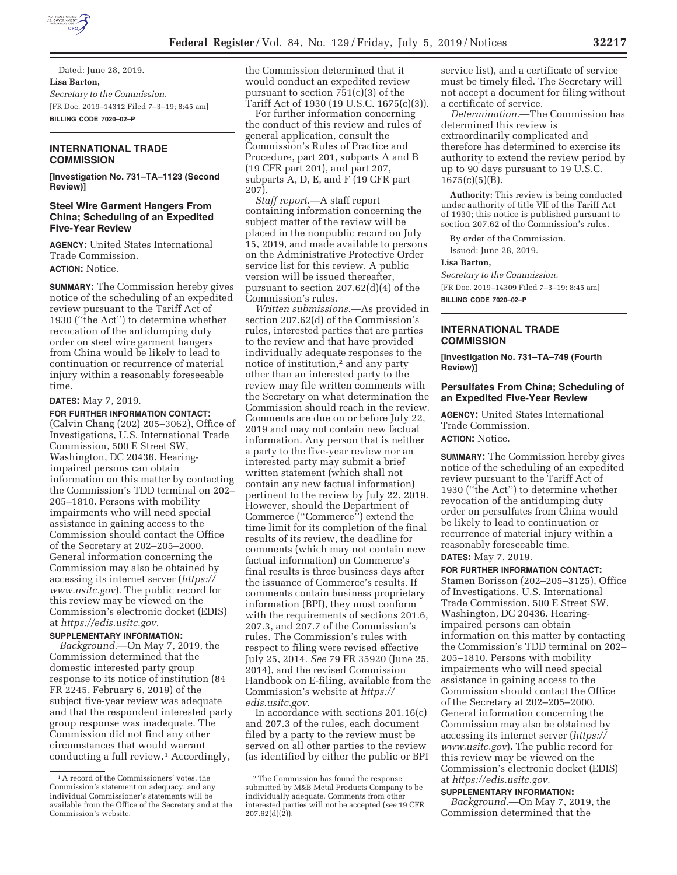

Dated: June 28, 2019. **Lisa Barton,**  *Secretary to the Commission.*  [FR Doc. 2019–14312 Filed 7–3–19; 8:45 am] **BILLING CODE 7020–02–P** 

# **INTERNATIONAL TRADE COMMISSION**

**[Investigation No. 731–TA–1123 (Second Review)]** 

## **Steel Wire Garment Hangers From China; Scheduling of an Expedited Five-Year Review**

**AGENCY:** United States International Trade Commission. **ACTION:** Notice.

**SUMMARY:** The Commission hereby gives notice of the scheduling of an expedited review pursuant to the Tariff Act of 1930 (''the Act'') to determine whether revocation of the antidumping duty order on steel wire garment hangers from China would be likely to lead to continuation or recurrence of material injury within a reasonably foreseeable time.

#### **DATES:** May 7, 2019.

#### **FOR FURTHER INFORMATION CONTACT:**

(Calvin Chang (202) 205–3062), Office of Investigations, U.S. International Trade Commission, 500 E Street SW, Washington, DC 20436. Hearingimpaired persons can obtain information on this matter by contacting the Commission's TDD terminal on 202– 205–1810. Persons with mobility impairments who will need special assistance in gaining access to the Commission should contact the Office of the Secretary at 202–205–2000. General information concerning the Commission may also be obtained by accessing its internet server (*https:// www.usitc.gov*). The public record for this review may be viewed on the Commission's electronic docket (EDIS) at *https://edis.usitc.gov.* 

## **SUPPLEMENTARY INFORMATION:**

*Background.*—On May 7, 2019, the Commission determined that the domestic interested party group response to its notice of institution (84 FR 2245, February 6, 2019) of the subject five-year review was adequate and that the respondent interested party group response was inadequate. The Commission did not find any other circumstances that would warrant conducting a full review.1 Accordingly,

the Commission determined that it would conduct an expedited review pursuant to section 751(c)(3) of the Tariff Act of 1930 (19 U.S.C. 1675(c)(3)).

For further information concerning the conduct of this review and rules of general application, consult the Commission's Rules of Practice and Procedure, part 201, subparts A and B (19 CFR part 201), and part 207, subparts A, D, E, and F (19 CFR part 207).

*Staff report.*—A staff report containing information concerning the subject matter of the review will be placed in the nonpublic record on July 15, 2019, and made available to persons on the Administrative Protective Order service list for this review. A public version will be issued thereafter, pursuant to section 207.62(d)(4) of the Commission's rules.

*Written submissions.*—As provided in section 207.62(d) of the Commission's rules, interested parties that are parties to the review and that have provided individually adequate responses to the notice of institution,2 and any party other than an interested party to the review may file written comments with the Secretary on what determination the Commission should reach in the review. Comments are due on or before July 22, 2019 and may not contain new factual information. Any person that is neither a party to the five-year review nor an interested party may submit a brief written statement (which shall not contain any new factual information) pertinent to the review by July 22, 2019. However, should the Department of Commerce (''Commerce'') extend the time limit for its completion of the final results of its review, the deadline for comments (which may not contain new factual information) on Commerce's final results is three business days after the issuance of Commerce's results. If comments contain business proprietary information (BPI), they must conform with the requirements of sections 201.6, 207.3, and 207.7 of the Commission's rules. The Commission's rules with respect to filing were revised effective July 25, 2014. *See* 79 FR 35920 (June 25, 2014), and the revised Commission Handbook on E-filing, available from the Commission's website at *https:// edis.usitc.gov.* 

In accordance with sections 201.16(c) and 207.3 of the rules, each document filed by a party to the review must be served on all other parties to the review (as identified by either the public or BPI

service list), and a certificate of service must be timely filed. The Secretary will not accept a document for filing without a certificate of service.

*Determination.*—The Commission has determined this review is extraordinarily complicated and therefore has determined to exercise its authority to extend the review period by up to 90 days pursuant to 19 U.S.C.  $1675(c)(5)(B)$ .

**Authority:** This review is being conducted under authority of title VII of the Tariff Act of 1930; this notice is published pursuant to section 207.62 of the Commission's rules.

By order of the Commission.

Issued: June 28, 2019.

# **Lisa Barton,**

*Secretary to the Commission.* 

[FR Doc. 2019–14309 Filed 7–3–19; 8:45 am]

**BILLING CODE 7020–02–P** 

## **INTERNATIONAL TRADE COMMISSION**

**[Investigation No. 731–TA–749 (Fourth Review)]** 

## **Persulfates From China; Scheduling of an Expedited Five-Year Review**

**AGENCY:** United States International Trade Commission. **ACTION:** Notice.

**SUMMARY:** The Commission hereby gives notice of the scheduling of an expedited review pursuant to the Tariff Act of 1930 (''the Act'') to determine whether revocation of the antidumping duty order on persulfates from China would be likely to lead to continuation or recurrence of material injury within a reasonably foreseeable time. **DATES:** May 7, 2019.

**FOR FURTHER INFORMATION CONTACT:**  Stamen Borisson (202–205–3125), Office of Investigations, U.S. International Trade Commission, 500 E Street SW, Washington, DC 20436. Hearingimpaired persons can obtain information on this matter by contacting the Commission's TDD terminal on 202– 205–1810. Persons with mobility impairments who will need special assistance in gaining access to the Commission should contact the Office of the Secretary at 202–205–2000. General information concerning the Commission may also be obtained by accessing its internet server (*https:// www.usitc.gov*). The public record for this review may be viewed on the Commission's electronic docket (EDIS) at *https://edis.usitc.gov.* 

#### **SUPPLEMENTARY INFORMATION:**

*Background.*—On May 7, 2019, the Commission determined that the

<sup>1</sup>A record of the Commissioners' votes, the Commission's statement on adequacy, and any individual Commissioner's statements will be available from the Office of the Secretary and at the Commission's website.

<sup>2</sup>The Commission has found the response submitted by M&B Metal Products Company to be individually adequate. Comments from other interested parties will not be accepted (*see* 19 CFR  $207.62(d)(2)$ ).